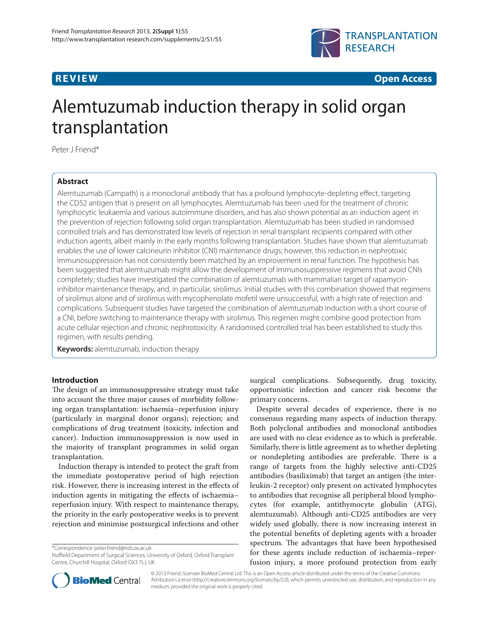

**REVIEW CONSTRUCTION CONSTRUCTION** 

# Alemtuzumab induction therapy in solid organ transplantation

Peter J Friend\*

# **Abstract**

Alemtuzumab (Campath) is a monoclonal antibody that has a profound lymphocyte-depleting effect, targeting the CD52 antigen that is present on all lymphocytes. Alemtuzumab has been used for the treatment of chronic lymphocytic leukaemia and various autoimmune disorders, and has also shown potential as an induction agent in the prevention of rejection following solid organ transplantation. Alemtuzumab has been studied in randomised controlled trials and has demonstrated low levels of rejection in renal transplant recipients compared with other induction agents, albeit mainly in the early months following transplantation. Studies have shown that alemtuzumab enables the use of lower calcineurin inhibitor (CNI) maintenance drugs; however, this reduction in nephrotoxic immunosuppression has not consistently been matched by an improvement in renal function. The hypothesis has been suggested that alemtuzumab might allow the development of immunosuppressive regimens that avoid CNIs completely; studies have investigated the combination of alemtuzumab with mammalian target of rapamycininhibitor maintenance therapy, and, in particular, sirolimus. Initial studies with this combination showed that regimens of sirolimus alone and of sirolimus with mycophenolate mofetil were unsuccessful, with a high rate of rejection and complications. Subsequent studies have targeted the combination of alemtuzumab induction with a short course of a CNI, before switching to maintenance therapy with sirolimus. This regimen might combine good protection from acute cellular rejection and chronic nephrotoxicity. A randomised controlled trial has been established to study this regimen, with results pending.

**Keywords:** alemtuzumab, induction therapy

# **Introduction**

The design of an immunosuppressive strategy must take into account the three major causes of morbidity following organ transplantation: ischaemia–reperfusion injury (particularly in marginal donor organs); rejection; and complications of drug treatment (toxicity, infection and cancer). Induction immunosuppression is now used in the majority of transplant programmes in solid organ transplantation.

Induction therapy is intended to protect the graft from the immediate postoperative period of high rejection risk. However, there is increasing interest in the effects of induction agents in mitigating the effects of ischaemiareperfusion injury. With respect to maintenance therapy, the priority in the early postoperative weeks is to prevent rejection and minimise postsurgical infections and other

\*Correspondence: peter.friend@nds.ox.ac.uk

surgical complications. Subsequently, drug toxicity, opportunistic infection and cancer risk become the primary concerns.

Despite several decades of experience, there is no consensus regarding many aspects of induction therapy. Both polyclonal antibodies and monoclonal antibodies are used with no clear evidence as to which is preferable. Similarly, there is little agreement as to whether depleting or nondepleting antibodies are preferable. There is a range of targets from the highly selective anti-CD25 antibodies (basiliximab) that target an antigen (the interleukin-2 receptor) only present on activated lymphocytes to antibodies that recognise all peripheral blood lymphocytes (for example, antithymocyte globulin (ATG), alemtuzumab). Although anti-CD25 antibodies are very widely used globally, there is now increasing interest in the potential benefits of depleting agents with a broader spectrum. The advantages that have been hypothesised for these agents include reduction of ischaemia–reperfusion injury, a more profound protection from early



© 2013 Friend; licensee BioMed Central Ltd. This is an Open Access article distributed under the terms of the Creative Commons Attribution License (http://creativecommons.org/licenses/by/2.0), which permits unrestricted use, distribution, and reproduction in any medium, provided the original work is properly cited.

Nuffield Department of Surgical Sciences, University of Oxford, Oxford Transplant Centre, Churchill Hospital, Oxford OX3 7LJ, UK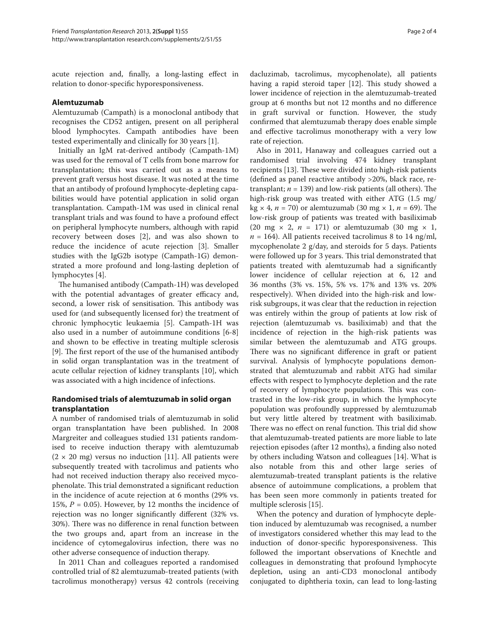acute rejection and, finally, a long-lasting effect in relation to donor-specific hyporesponsiveness.

# **Alemtuzumab**

Alemtuzumab (Campath) is a monoclonal antibody that recognises the CD52 antigen, present on all peripheral blood lymphocytes. Campath antibodies have been tested experimentally and clinically for 30 years [1].

Initially an IgM rat-derived antibody (Campath-1M) was used for the removal of T cells from bone marrow for transplantation; this was carried out as a means to prevent graft versus host disease. It was noted at the time that an antibody of profound lymphocyte-depleting capabilities would have potential application in solid organ transplantation. Campath-1M was used in clinical renal transplant trials and was found to have a profound effect on peripheral lymphocyte numbers, although with rapid recovery between doses [2], and was also shown to reduce the incidence of acute rejection [3]. Smaller studies with the IgG2b isotype (Campath-1G) demonstrated a more profound and long-lasting depletion of lymphocytes [4].

The humanised antibody (Campath-1H) was developed with the potential advantages of greater efficacy and, second, a lower risk of sensitisation. This antibody was used for (and subsequently licensed for) the treatment of chronic lymphocytic leukaemia [5]. Campath-1H was also used in a number of autoimmune conditions [6-8] and shown to be effective in treating multiple sclerosis [9]. The first report of the use of the humanised antibody in solid organ transplantation was in the treatment of acute cellular rejection of kidney transplants [10], which was associated with a high incidence of infections.

# **Randomised trials of alemtuzumab in solid organ transplantation**

A number of randomised trials of alemtuzumab in solid organ transplantation have been published. In 2008 Margreiter and colleagues studied 131 patients randomised to receive induction therapy with alemtuzumab  $(2 \times 20 \text{ mg})$  versus no induction [11]. All patients were subsequently treated with tacrolimus and patients who had not received induction therapy also received mycophenolate. This trial demonstrated a significant reduction in the incidence of acute rejection at 6 months (29% vs. 15%,  $P = 0.05$ ). However, by 12 months the incidence of rejection was no longer significantly different (32% vs. 30%). There was no difference in renal function between the two groups and, apart from an increase in the incidence of cytomegalovirus infection, there was no other adverse consequence of induction therapy.

In 2011 Chan and colleagues reported a randomised controlled trial of 82 alemtuzumab-treated patients (with tacrolimus monotherapy) versus 42 controls (receiving dacluzimab, tacrolimus, mycophenolate), all patients having a rapid steroid taper [12]. This study showed a lower incidence of rejection in the alemtuzumab-treated group at 6 months but not 12 months and no difference in graft survival or function. However, the study confirmed that alemtuzumab therapy does enable simple and effective tacrolimus monotherapy with a very low rate of rejection.

Also in 2011, Hanaway and colleagues carried out a randomised trial involving 474 kidney transplant recipients [13]. These were divided into high-risk patients (defined as panel reactive antibody  $>20\%$ , black race, retransplant;  $n = 139$ ) and low-risk patients (all others). The high-risk group was treated with either ATG (1.5 mg/  $kg \times 4$ ,  $n = 70$ ) or alemtuzumab (30 mg  $\times$  1,  $n = 69$ ). The low-risk group of patients was treated with basiliximab (20 mg  $\times$  2,  $n = 171$ ) or alemtuzumab (30 mg  $\times$  1,  $n = 164$ ). All patients received tacrolimus 8 to 14 ng/ml, mycophenolate 2 g/day, and steroids for 5 days. Patients were followed up for 3 years. This trial demonstrated that patients treated with alemtuzumab had a significantly lower incidence of cellular rejection at 6, 12 and 36 months (3% vs. 15%, 5% vs. 17% and 13% vs. 20% respectively). When divided into the high-risk and lowrisk subgroups, it was clear that the reduction in rejection was entirely within the group of patients at low risk of rejection (alemtuzumab vs. basiliximab) and that the incidence of rejection in the high-risk patients was similar between the alemtuzumab and ATG groups. There was no significant difference in graft or patient survival. Analysis of lymphocyte populations demonstrated that alemtuzumab and rabbit ATG had similar effects with respect to lymphocyte depletion and the rate of recovery of lymphocyte populations. This was contrasted in the low-risk group, in which the lymphocyte population was profoundly suppressed by alemtuzumab but very little altered by treatment with basiliximab. There was no effect on renal function. This trial did show that alemtuzumab-treated patients are more liable to late rejection episodes (after 12 months), a finding also noted by others including Watson and colleagues [14]. What is also notable from this and other large series of alemtuzumab-treated transplant patients is the relative absence of autoimmune complications, a problem that has been seen more commonly in patients treated for multiple sclerosis [15].

When the potency and duration of lymphocyte depletion induced by alemtuzumab was recognised, a number of investigators considered whether this may lead to the induction of donor-specific hyporesponsiveness. This followed the important observations of Knechtle and colleagues in demonstrating that profound lymphocyte depletion, using an anti-CD3 monoclonal antibody conjugated to diphtheria toxin, can lead to long-lasting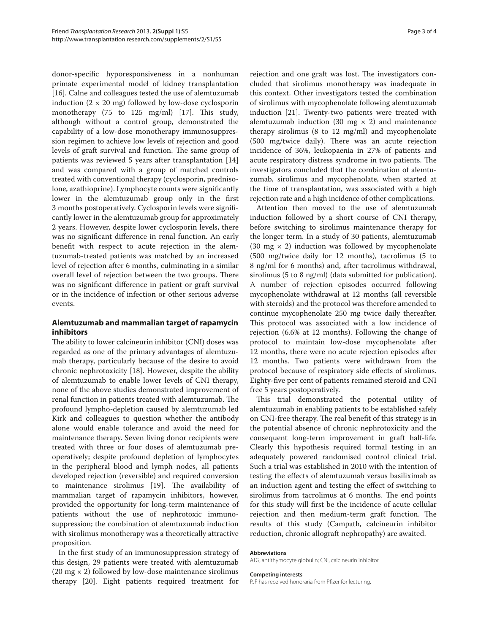donor-specific hyporesponsiveness in a nonhuman primate experimental model of kidney transplantation [16]. Calne and colleagues tested the use of alemtuzumab induction  $(2 \times 20 \text{ mg})$  followed by low-dose cyclosporin monotherapy (75 to  $125 \text{ mg/ml}$ ) [17]. This study, although without a control group, demonstrated the capability of a low-dose monotherapy immunosuppression regimen to achieve low levels of rejection and good levels of graft survival and function. The same group of patients was reviewed 5 years after transplantation [14] and was compared with a group of matched controls treated with conventional therapy (cyclosporin, prednisolone, azathioprine). Lymphocyte counts were significantly lower in the alemtuzumab group only in the first 3 months postoperatively. Cyclosporin levels were significantly lower in the alemtuzumab group for approximately 2 years. However, despite lower cyclosporin levels, there was no significant difference in renal function. An early benefit with respect to acute rejection in the alemtuzumab-treated patients was matched by an increased level of rejection after 6 months, culminating in a similar overall level of rejection between the two groups. There was no significant difference in patient or graft survival or in the incidence of infection or other serious adverse events.

# **Alemtuzumab and mammalian target of rapamycin inhibitors**

The ability to lower calcineurin inhibitor (CNI) doses was regarded as one of the primary advantages of alemtuzumab therapy, particularly because of the desire to avoid chronic nephrotoxicity [18]. However, despite the ability of alemtuzumab to enable lower levels of CNI therapy, none of the above studies demonstrated improvement of renal function in patients treated with alemtuzumab. The profound lympho-depletion caused by alemtuzumab led Kirk and colleagues to question whether the antibody alone would enable tolerance and avoid the need for maintenance therapy. Seven living donor recipients were treated with three or four doses of alemtuzumab preoperatively; despite profound depletion of lymphocytes in the peripheral blood and lymph nodes, all patients developed rejection (reversible) and required conversion to maintenance sirolimus [19]. The availability of mammalian target of rapamycin inhibitors, however, provided the opportunity for long-term maintenance of patients without the use of nephrotoxic immunosuppression; the combination of alemtuzumab induction with sirolimus monotherapy was a theoretically attractive proposition.

In the first study of an immunosuppression strategy of this design, 29 patients were treated with alemtuzumab (20 mg  $\times$  2) followed by low-dose maintenance sirolimus therapy [20]. Eight patients required treatment for

rejection and one graft was lost. The investigators concluded that sirolimus monotherapy was inadequate in this context. Other investigators tested the combination of sirolimus with mycophenolate following alemtuzumab induction [21]. Twenty-two patients were treated with alemtuzumab induction (30 mg  $\times$  2) and maintenance therapy sirolimus (8 to 12 mg/ml) and mycophenolate  $(500 \text{ mg}/\text{twice}$  daily). There was an acute rejection incidence of 36%, leukopaenia in 27% of patients and acute respiratory distress syndrome in two patients. The investigators concluded that the combination of alemtuzumab, sirolimus and mycophenolate, when started at the time of transplantation, was associated with a high rejection rate and a high incidence of other complications.

Attention then moved to the use of alemtuzumab induction followed by a short course of CNI therapy, before switching to sirolimus maintenance therapy for the longer term. In a study of 30 patients, alemtuzumab (30  $mg \times 2$ ) induction was followed by mycophenolate (500 mg/twice daily for 12 months), tacrolimus (5 to 8 ng/ml for 6 months) and, after tacrolimus withdrawal, sirolimus (5 to 8 ng/ml) (data submitted for publication). A number of rejection episodes occurred following mycophenolate withdrawal at 12 months (all reversible with steroids) and the protocol was therefore amended to continue mycophenolate 250 mg twice daily thereafter. This protocol was associated with a low incidence of rejection (6.6% at 12 months). Following the change of protocol to maintain low-dose mycophenolate after 12 months, there were no acute rejection episodes after 12 months. Two patients were withdrawn from the protocol because of respiratory side effects of sirolimus. Eighty-five per cent of patients remained steroid and CNI free 5 years postoperatively.

This trial demonstrated the potential utility of alemtuzumab in enabling patients to be established safely on CNI-free therapy. The real benefit of this strategy is in the potential absence of chronic nephrotoxicity and the consequent long-term improvement in graft half-life. Clearly this hypothesis required formal testing in an adequately powered randomised control clinical trial. Such a trial was established in 2010 with the intention of testing the effects of alemtuzumab versus basiliximab as an induction agent and testing the effect of switching to sirolimus from tacrolimus at 6 months. The end points for this study will first be the incidence of acute cellular rejection and then medium-term graft function. The results of this study (Campath, calcineurin inhibitor reduction, chronic allograft nephropathy) are awaited.

#### **Abbreviations**

ATG, antithymocyte globulin; CNI, calcineurin inhibitor.

### **Competing interests**

PJF has received honoraria from Pfizer for lecturing.